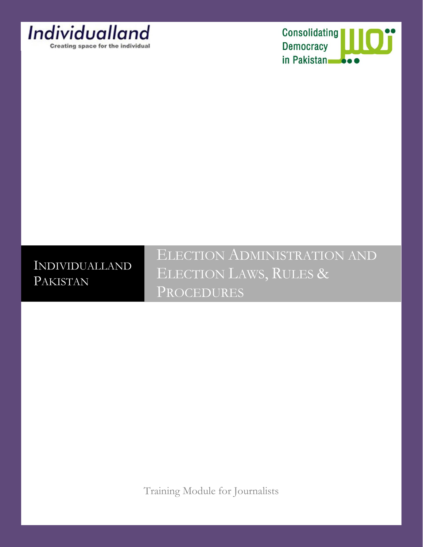

Consolidating<br>Democracy in Pakistan

# INDIVIDUALLAND PAKISTAN

ELECTION ADMINISTRATION AND ELECTION LAWS, RULES & PROCEDURES

Training Module for Journalists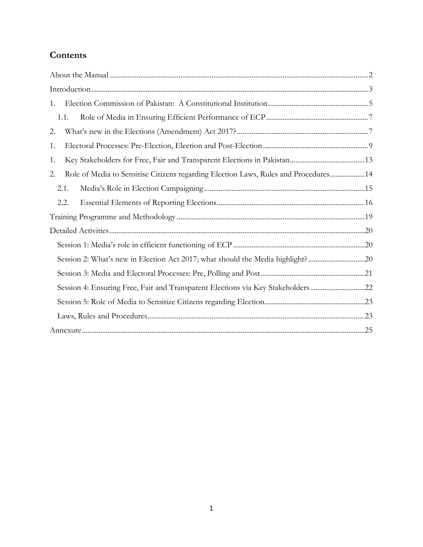# **Contents**

| 1.                                                                                         |  |  |  |  |  |
|--------------------------------------------------------------------------------------------|--|--|--|--|--|
| 1.1.                                                                                       |  |  |  |  |  |
| 2.                                                                                         |  |  |  |  |  |
| 1.                                                                                         |  |  |  |  |  |
| 1.                                                                                         |  |  |  |  |  |
| Role of Media to Sensitise Citizens regarding Election Laws, Rules and Procedures 14<br>2. |  |  |  |  |  |
| 2.1.                                                                                       |  |  |  |  |  |
| 2.2.                                                                                       |  |  |  |  |  |
|                                                                                            |  |  |  |  |  |
|                                                                                            |  |  |  |  |  |
|                                                                                            |  |  |  |  |  |
| Session 2: What's new in Election Act 2017; what should the Media highlight?20             |  |  |  |  |  |
|                                                                                            |  |  |  |  |  |
| Session 4: Ensuring Free, Fair and Transparent Elections via Key Stakeholders22            |  |  |  |  |  |
|                                                                                            |  |  |  |  |  |
|                                                                                            |  |  |  |  |  |
|                                                                                            |  |  |  |  |  |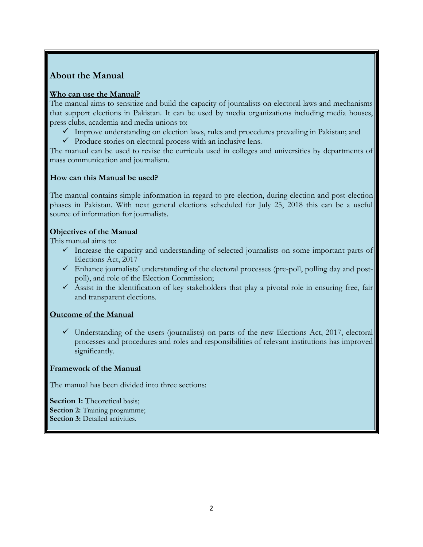### <span id="page-2-0"></span>**About the Manual**

### **Who can use the Manual?**

The manual aims to sensitize and build the capacity of journalists on electoral laws and mechanisms that support elections in Pakistan. It can be used by media organizations including media houses, press clubs, academia and media unions to:

- $\checkmark$  Improve understanding on election laws, rules and procedures prevailing in Pakistan; and
- $\checkmark$  Produce stories on electoral process with an inclusive lens.

The manual can be used to revise the curricula used in colleges and universities by departments of mass communication and journalism.

### **How can this Manual be used?**

The manual contains simple information in regard to pre-election, during election and post-election phases in Pakistan. With next general elections scheduled for July 25, 2018 this can be a useful source of information for journalists.

### **Objectives of the Manual**

This manual aims to:

- $\checkmark$  Increase the capacity and understanding of selected journalists on some important parts of Elections Act, 2017
- $\checkmark$  Enhance journalists' understanding of the electoral processes (pre-poll, polling day and postpoll), and role of the Election Commission;
- $\checkmark$  Assist in the identification of key stakeholders that play a pivotal role in ensuring free, fair and transparent elections.

### **Outcome of the Manual**

 $\checkmark$  Understanding of the users (journalists) on parts of the new Elections Act, 2017, electoral processes and procedures and roles and responsibilities of relevant institutions has improved significantly.

#### **Framework of the Manual**

The manual has been divided into three sections:

<span id="page-2-1"></span>**Section 1:** Theoretical basis: **Section 2:** Training programme; **Section 3:** Detailed activities.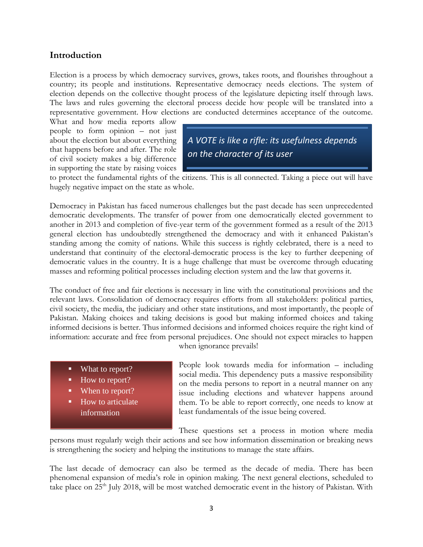### **Introduction**

Election is a process by which democracy survives, grows, takes roots, and flourishes throughout a country; its people and institutions. Representative democracy needs elections. The system of election depends on the collective thought process of the legislature depicting itself through laws. The laws and rules governing the electoral process decide how people will be translated into a representative government. How elections are conducted determines acceptance of the outcome.

What and how media reports allow people to form opinion – not just about the election but about everything that happens before and after. The role of civil society makes a big difference in supporting the state by raising voices

*A VOTE is like a rifle: its usefulness depends on the character of its user*

to protect the fundamental rights of the citizens. This is all connected. Taking a piece out will have hugely negative impact on the state as whole.

Democracy in Pakistan has faced numerous challenges but the past decade has seen unprecedented democratic developments. The transfer of power from one democratically elected government to another in 2013 and completion of five-year term of the government formed as a result of the 2013 general election has undoubtedly strengthened the democracy and with it enhanced Pakistan's standing among the comity of nations. While this success is rightly celebrated, there is a need to understand that continuity of the electoral-democratic process is the key to further deepening of democratic values in the country. It is a huge challenge that must be overcome through educating masses and reforming political processes including election system and the law that governs it.

The conduct of free and fair elections is necessary in line with the constitutional provisions and the relevant laws. Consolidation of democracy requires efforts from all stakeholders: political parties, civil society, the media, the judiciary and other state institutions, and most importantly, the people of Pakistan. Making choices and taking decisions is good but making informed choices and taking informed decisions is better. Thus informed decisions and informed choices require the right kind of information: accurate and free from personal prejudices. One should not expect miracles to happen when ignorance prevails!

- What to report?
- How to report?
- When to report?
- How to articulate information

People look towards media for information – including social media. This dependency puts a massive responsibility on the media persons to report in a neutral manner on any issue including elections and whatever happens around them. To be able to report correctly, one needs to know at least fundamentals of the issue being covered.

These questions set a process in motion where media

persons must regularly weigh their actions and see how information dissemination or breaking news is strengthening the society and helping the institutions to manage the state affairs.

The last decade of democracy can also be termed as the decade of media. There has been phenomenal expansion of media's role in opinion making. The next general elections, scheduled to take place on 25<sup>th</sup> July 2018, will be most watched democratic event in the history of Pakistan. With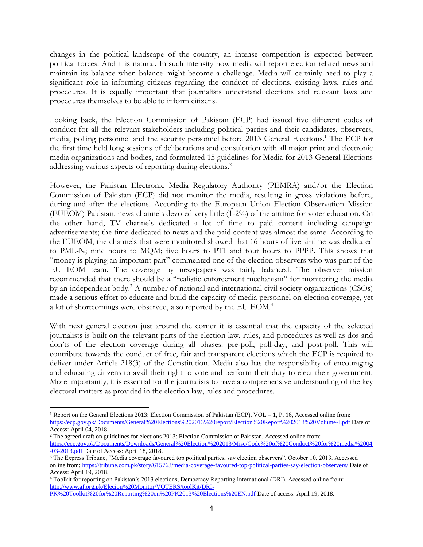changes in the political landscape of the country, an intense competition is expected between political forces. And it is natural. In such intensity how media will report election related news and maintain its balance when balance might become a challenge. Media will certainly need to play a significant role in informing citizens regarding the conduct of elections, existing laws, rules and procedures. It is equally important that journalists understand elections and relevant laws and procedures themselves to be able to inform citizens.

Looking back, the Election Commission of Pakistan (ECP) had issued five different codes of conduct for all the relevant stakeholders including political parties and their candidates, observers, media, polling personnel and the security personnel before 2013 General Elections.<sup>1</sup> The ECP for the first time held long sessions of deliberations and consultation with all major print and electronic media organizations and bodies, and formulated 15 guidelines for Media for 2013 General Elections addressing various aspects of reporting during elections.<sup>2</sup>

However, the Pakistan Electronic Media Regulatory Authority (PEMRA) and/or the Election Commission of Pakistan (ECP) did not monitor the media, resulting in gross violations before, during and after the elections. According to the European Union Election Observation Mission (EUEOM) Pakistan, news channels devoted very little (1-2%) of the airtime for voter education. On the other hand, TV channels dedicated a lot of time to paid content including campaign advertisements; the time dedicated to news and the paid content was almost the same. According to the EUEOM, the channels that were monitored showed that 16 hours of live airtime was dedicated to PML-N; nine hours to MQM; five hours to PTI and four hours to PPPP. This shows that "money is playing an important part" commented one of the election observers who was part of the EU EOM team. The coverage by newspapers was fairly balanced. The observer mission recommended that there should be a "realistic enforcement mechanism" for monitoring the media by an independent body.<sup>3</sup> A number of national and international civil society organizations (CSOs) made a serious effort to educate and build the capacity of media personnel on election coverage, yet a lot of shortcomings were observed, also reported by the EU EOM.<sup>4</sup>

With next general election just around the corner it is essential that the capacity of the selected journalists is built on the relevant parts of the election law, rules, and procedures as well as dos and don'ts of the election coverage during all phases: pre-poll, poll-day, and post-poll. This will contribute towards the conduct of free, fair and transparent elections which the ECP is required to deliver under Article 218(3) of the Constitution. Media also has the responsibility of encouraging and educating citizens to avail their right to vote and perform their duty to elect their government. More importantly, it is essential for the journalists to have a comprehensive understanding of the key electoral matters as provided in the election law, rules and procedures.

 $\overline{a}$ 

<sup>&</sup>lt;sup>1</sup> Report on the General Elections 2013: Election Commission of Pakistan (ECP). VOL  $-1$ , P. 16, Accessed online from: <https://ecp.gov.pk/Documents/General%20Elections%202013%20report/Election%20Report%202013%20Volume-I.pdf> Date of Access: April 04, 2018.

<sup>&</sup>lt;sup>2</sup> The agreed draft on guidelines for elections 2013: Election Commission of Pakistan. Accessed online from: [https://ecp.gov.pk/Documents/Downloads/General%20Election%202013/Misc/Code%20of%20Conduct%20for%20media%2004](https://ecp.gov.pk/Documents/Downloads/General%20Election%202013/Misc/Code%20of%20Conduct%20for%20media%2004-03-2013.pdf) [-03-2013.pdf](https://ecp.gov.pk/Documents/Downloads/General%20Election%202013/Misc/Code%20of%20Conduct%20for%20media%2004-03-2013.pdf) Date of Access: April 18, 2018.

<sup>&</sup>lt;sup>3</sup> The Express Tribune, "Media coverage favoured top political parties, say election observers", October 10, 2013. Accessed online from:<https://tribune.com.pk/story/615763/media-coverage-favoured-top-political-parties-say-election-observers/> Date of Access: April 19, 2018.

<sup>4</sup> Toolkit for reporting on Pakistan's 2013 elections, Democracy Reporting International (DRI), Accessed online from: [http://www.af.org.pk/Elecion%20Monitor/VOTERS/toolKit/DRI-](http://www.af.org.pk/Elecion%20Monitor/VOTERS/toolKit/DRI-PK%20Toolkit%20for%20Reporting%20on%20PK2013%20Elections%20EN.pdf)

[PK%20Toolkit%20for%20Reporting%20on%20PK2013%20Elections%20EN.pdf](http://www.af.org.pk/Elecion%20Monitor/VOTERS/toolKit/DRI-PK%20Toolkit%20for%20Reporting%20on%20PK2013%20Elections%20EN.pdf) Date of access: April 19, 2018.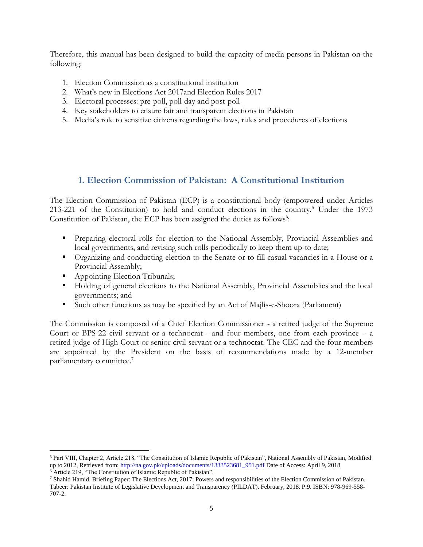Therefore, this manual has been designed to build the capacity of media persons in Pakistan on the following:

- 1. Election Commission as a constitutional institution
- 2. What's new in Elections Act 2017and Election Rules 2017
- 3. Electoral processes: pre-poll, poll-day and post-poll
- 4. Key stakeholders to ensure fair and transparent elections in Pakistan
- 5. Media's role to sensitize citizens regarding the laws, rules and procedures of elections

### <span id="page-5-0"></span>**1. Election Commission of Pakistan: A Constitutional Institution**

The Election Commission of Pakistan (ECP) is a constitutional body (empowered under Articles 213-221 of the Constitution) to hold and conduct elections in the country.<sup>5</sup> Under the 1973 Constitution of Pakistan, the ECP has been assigned the duties as follows<sup>6</sup>:

- **Preparing electoral rolls for election to the National Assembly, Provincial Assemblies and** local governments, and revising such rolls periodically to keep them up-to date;
- Organizing and conducting election to the Senate or to fill casual vacancies in a House or a Provincial Assembly;
- **Appointing Election Tribunals;**
- Holding of general elections to the National Assembly, Provincial Assemblies and the local governments; and
- Such other functions as may be specified by an Act of Majlis-e-Shoora (Parliament)

The Commission is composed of a Chief Election Commissioner - a retired judge of the Supreme Court or BPS-22 civil servant or a technocrat - and four members, one from each province – a retired judge of High Court or senior civil servant or a technocrat. The CEC and the four members are appointed by the President on the basis of recommendations made by a 12-member parliamentary committee.<sup>7</sup>

 $\overline{\phantom{a}}$ 

<sup>5</sup> Part VIII, Chapter 2, Article 218, "The Constitution of Islamic Republic of Pakistan", National Assembly of Pakistan, Modified up to 2012, Retrieved from: [http://na.gov.pk/uploads/documents/1333523681\\_951.pdf](http://na.gov.pk/uploads/documents/1333523681_951.pdf) Date of Access: April 9, 2018

<sup>6</sup> Article 219, "The Constitution of Islamic Republic of Pakistan".

 $7$  Shahid Hamid. Briefing Paper: The Elections Act, 2017: Powers and responsibilities of the Election Commission of Pakistan. Tabeer: Pakistan Institute of Legislative Development and Transparency (PILDAT). February, 2018. P.9. ISBN: 978-969-558- 707-2.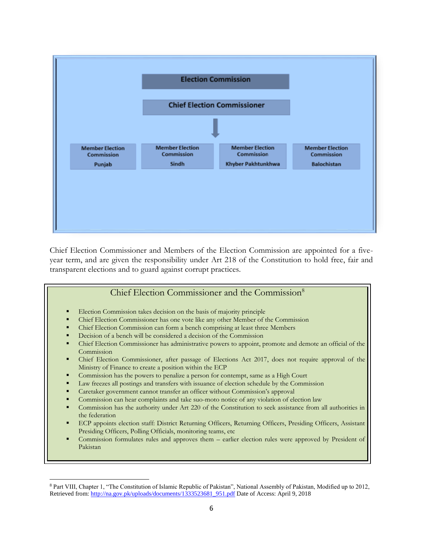

Chief Election Commissioner and Members of the Election Commission are appointed for a fiveyear term, and are given the responsibility under Art 218 of the Constitution to hold free, fair and transparent elections and to guard against corrupt practices.

### Chief Election Commissioner and the Commission<sup>8</sup> Election Commission takes decision on the basis of majority principle Chief Election Commissioner has one vote like any other Member of the Commission Chief Election Commission can form a bench comprising at least three Members Decision of a bench will be considered a decision of the Commission Chief Election Commissioner has administrative powers to appoint, promote and demote an official of the Commission Chief Election Commissioner, after passage of Elections Act 2017, does not require approval of the Ministry of Finance to create a position within the ECP Commission has the powers to penalize a person for contempt, same as a High Court Law freezes all postings and transfers with issuance of election schedule by the Commission Caretaker government cannot transfer an officer without Commission's approval Commission can hear complaints and take suo-moto notice of any violation of election law Commission has the authority under Art 220 of the Constitution to seek assistance from all authorities in the federation ECP appoints election staff: District Returning Officers, Returning Officers, Presiding Officers, Assistant Presiding Officers, Polling Officials, monitoring teams, etc Commission formulates rules and approves them – earlier election rules were approved by President of Pakistan

 $\overline{a}$ <sup>8</sup> Part VIII, Chapter 1, "The Constitution of Islamic Republic of Pakistan", National Assembly of Pakistan, Modified up to 2012, Retrieved from[: http://na.gov.pk/uploads/documents/1333523681\\_951.pdf](http://na.gov.pk/uploads/documents/1333523681_951.pdf) Date of Access: April 9, 2018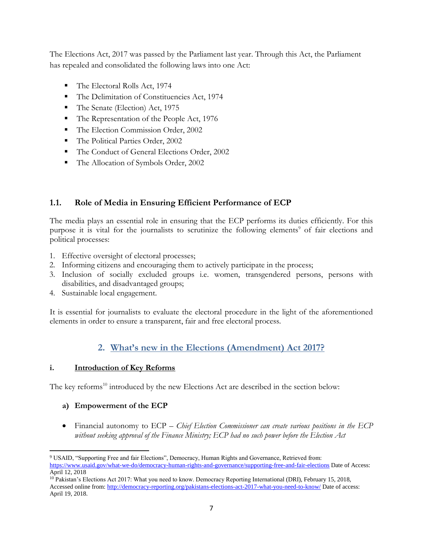The Elections Act, 2017 was passed by the Parliament last year. Through this Act, the Parliament has repealed and consolidated the following laws into one Act:

- The Electoral Rolls Act, 1974
- The Delimitation of Constituencies Act, 1974
- The Senate (Election) Act, 1975
- The Representation of the People Act, 1976
- The Election Commission Order, 2002
- The Political Parties Order, 2002
- The Conduct of General Elections Order, 2002
- The Allocation of Symbols Order, 2002

# <span id="page-7-0"></span>**1.1. Role of Media in Ensuring Efficient Performance of ECP**

The media plays an essential role in ensuring that the ECP performs its duties efficiently. For this purpose it is vital for the journalists to scrutinize the following elements<sup>9</sup> of fair elections and political processes:

- 1. Effective oversight of electoral processes;
- 2. Informing citizens and encouraging them to actively participate in the process;
- 3. Inclusion of socially excluded groups i.e. women, transgendered persons, persons with disabilities, and disadvantaged groups;
- 4. Sustainable local engagement.

It is essential for journalists to evaluate the electoral procedure in the light of the aforementioned elements in order to ensure a transparent, fair and free electoral process.

# **2. What's new in the Elections (Amendment) Act 2017?**

### <span id="page-7-1"></span>**i. Introduction of Key Reforms**

The key reforms<sup>10</sup> introduced by the new Elections Act are described in the section below:

### **a) Empowerment of the ECP**

 Financial autonomy to ECP – *Chief Election Commissioner can create various positions in the ECP without seeking approval of the Finance Ministry; ECP had no such power before the Election Act*

 $\overline{\phantom{a}}$ <sup>9</sup> USAID, "Supporting Free and fair Elections", Democracy, Human Rights and Governance, Retrieved from:

<https://www.usaid.gov/what-we-do/democracy-human-rights-and-governance/supporting-free-and-fair-elections> Date of Access: April 12, 2018

<sup>10</sup> Pakistan's Elections Act 2017: What you need to know. Democracy Reporting International (DRI), February 15, 2018, Accessed online from:<http://democracy-reporting.org/pakistans-elections-act-2017-what-you-need-to-know/> Date of access: April 19, 2018.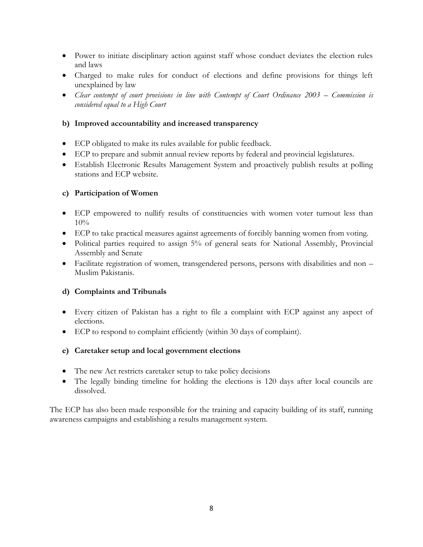- Power to initiate disciplinary action against staff whose conduct deviates the election rules and laws
- Charged to make rules for conduct of elections and define provisions for things left unexplained by law
- Clear contempt of court provisions in line with Contempt of Court Ordinance 2003 Commission is *considered equal to a High Court*

### **b) Improved accountability and increased transparency**

- ECP obligated to make its rules available for public feedback.
- ECP to prepare and submit annual review reports by federal and provincial legislatures.
- Establish Electronic Results Management System and proactively publish results at polling stations and ECP website.

### **c) Participation of Women**

- ECP empowered to nullify results of constituencies with women voter turnout less than 10%
- ECP to take practical measures against agreements of forcibly banning women from voting.
- Political parties required to assign 5% of general seats for National Assembly, Provincial Assembly and Senate
- Facilitate registration of women, transgendered persons, persons with disabilities and non Muslim Pakistanis.

### **d) Complaints and Tribunals**

- Every citizen of Pakistan has a right to file a complaint with ECP against any aspect of elections.
- ECP to respond to complaint efficiently (within 30 days of complaint).

#### **e) Caretaker setup and local government elections**

- The new Act restricts caretaker setup to take policy decisions
- The legally binding timeline for holding the elections is 120 days after local councils are dissolved.

The ECP has also been made responsible for the training and capacity building of its staff, running awareness campaigns and establishing a results management system.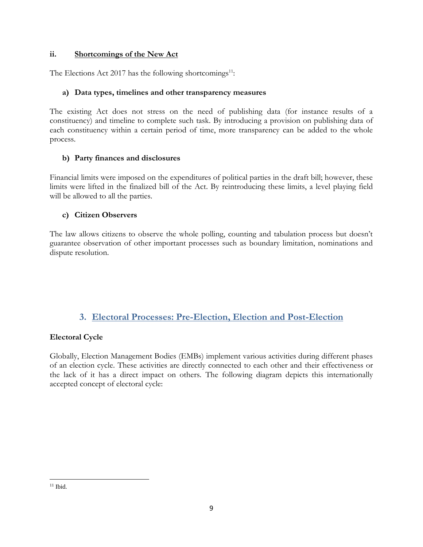### **ii. Shortcomings of the New Act**

The Elections Act 2017 has the following shortcomings<sup>11</sup>:

#### **a) Data types, timelines and other transparency measures**

The existing Act does not stress on the need of publishing data (for instance results of a constituency) and timeline to complete such task. By introducing a provision on publishing data of each constituency within a certain period of time, more transparency can be added to the whole process.

### **b) Party finances and disclosures**

Financial limits were imposed on the expenditures of political parties in the draft bill; however, these limits were lifted in the finalized bill of the Act. By reintroducing these limits, a level playing field will be allowed to all the parties.

### **c) Citizen Observers**

The law allows citizens to observe the whole polling, counting and tabulation process but doesn't guarantee observation of other important processes such as boundary limitation, nominations and dispute resolution.

### **3. Electoral Processes: Pre-Election, Election and Post-Election**

### <span id="page-9-0"></span>**Electoral Cycle**

Globally, Election Management Bodies (EMBs) implement various activities during different phases of an election cycle. These activities are directly connected to each other and their effectiveness or the lack of it has a direct impact on others. The following diagram depicts this internationally accepted concept of electoral cycle:

 $\overline{a}$  $11$  Ibid.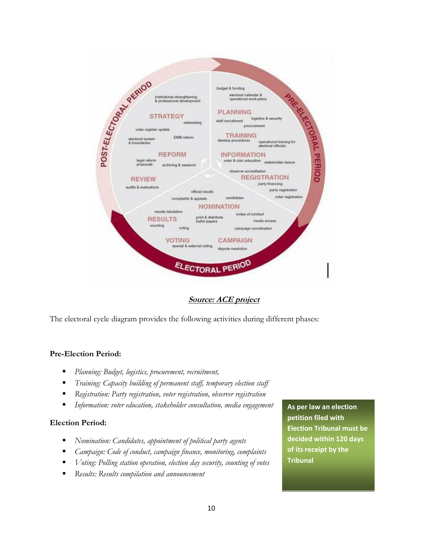

**Source: ACE project**

The electoral cycle diagram provides the following activities during different phases:

#### **Pre-Election Period:**

- *Planning: Budget, logistics, procurement, recruitment,*
- *Training: Capacity building of permanent staff, temporary election staff*
- *Registration: Party registration, voter registration, observer registration*
- *Information: voter education, stakeholder consultation, media engagement*

#### **Election Period:**

- *Nomination: Candidates, appointment of political party agents*
- *Campaign: Code of conduct, campaign finance, monitoring, complaints*
- *Voting: Polling station operation, election day security, counting of votes*
- *Results: Results compilation and announcement*

**As per law an election petition filed with Election Tribunal must be decided within 120 days of its receipt by the Tribunal**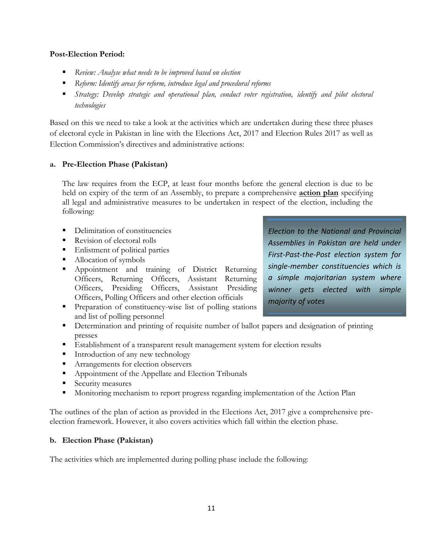#### **Post-Election Period:**

- *Review: Analyse what needs to be improved based on election*
- *Reform: Identify areas for reform, introduce legal and procedural reforms*
- *Strategy: Develop strategic and operational plan, conduct voter registration, identify and pilot electoral technologies*

Based on this we need to take a look at the activities which are undertaken during these three phases of electoral cycle in Pakistan in line with the Elections Act, 2017 and Election Rules 2017 as well as Election Commission's directives and administrative actions:

#### **a. Pre-Election Phase (Pakistan)**

The law requires from the ECP, at least four months before the general election is due to be held on expiry of the term of an Assembly, to prepare a comprehensive **action plan** specifying all legal and administrative measures to be undertaken in respect of the election, including the following:

- Delimitation of constituencies
- Revision of electoral rolls
- Enlistment of political parties
- Allocation of symbols
- **Appointment** and training of District Returning Officers, Returning Officers, Assistant Returning Officers, Presiding Officers, Assistant Presiding Officers, Polling Officers and other election officials
- **Preparation of constituency-wise list of polling stations** and list of polling personnel
- Determination and printing of requisite number of ballot papers and designation of printing presses
- Establishment of a transparent result management system for election results
- Introduction of any new technology
- Arrangements for election observers
- Appointment of the Appellate and Election Tribunals
- **Security measures**
- Monitoring mechanism to report progress regarding implementation of the Action Plan

The outlines of the plan of action as provided in the Elections Act, 2017 give a comprehensive preelection framework. However, it also covers activities which fall within the election phase.

#### **b. Election Phase (Pakistan)**

The activities which are implemented during polling phase include the following:

*Election to the National and Provincial Assemblies in Pakistan are held under First-Past-the-Post election system for single-member constituencies which is a simple majoritarian system where winner gets elected with simple majority of votes*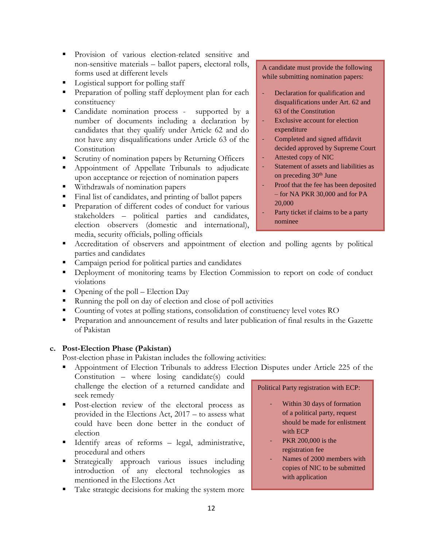- **Provision of various election-related sensitive and** non-sensitive materials – ballot papers, electoral rolls, forms used at different levels
- Logistical support for polling staff
- **Preparation of polling staff deployment plan for each** constituency
- Candidate nomination process supported by a number of documents including a declaration by candidates that they qualify under Article 62 and do not have any disqualifications under Article 63 of the **Constitution**
- Scrutiny of nomination papers by Returning Officers
- **Appointment of Appellate Tribunals to adjudicate** upon acceptance or rejection of nomination papers
- Withdrawals of nomination papers
- Final list of candidates, and printing of ballot papers
- **Preparation of different codes of conduct for various** stakeholders – political parties and candidates, election observers (domestic and international), media, security officials, polling officials

A candidate must provide the following while submitting nomination papers:

- Declaration for qualification and disqualifications under Art. 62 and 63 of the Constitution
- Exclusive account for election expenditure
- Completed and signed affidavit decided approved by Supreme Court
- Attested copy of NIC
- Statement of assets and liabilities as on preceding  $30<sup>th</sup>$  June
- Proof that the fee has been deposited – for NA PKR 30,000 and for PA 20,000
- Party ticket if claims to be a party nominee
- Accreditation of observers and appointment of election and polling agents by political parties and candidates
- Campaign period for political parties and candidates
- **•** Deployment of monitoring teams by Election Commission to report on code of conduct violations
- Opening of the poll Election Day
- Running the poll on day of election and close of poll activities
- Counting of votes at polling stations, consolidation of constituency level votes RO
- **Preparation and announcement of results and later publication of final results in the Gazette** of Pakistan

#### **c. Post-Election Phase (Pakistan)**

Post-election phase in Pakistan includes the following activities:

 Appointment of Election Tribunals to address Election Disputes under Article 225 of the Constitution – where losing candidate(s) could

challenge the election of a returned candidate and seek remedy

- Post-election review of the electoral process as provided in the Elections Act, 2017 – to assess what could have been done better in the conduct of election
- Identify areas of reforms legal, administrative, procedural and others
- Strategically approach various issues including introduction of any electoral technologies as mentioned in the Elections Act
- Take strategic decisions for making the system more

#### Political Party registration with ECP:

- Within 30 days of formation of a political party, request should be made for enlistment with ECP
- PKR 200,000 is the registration fee
- Names of 2000 members with copies of NIC to be submitted with application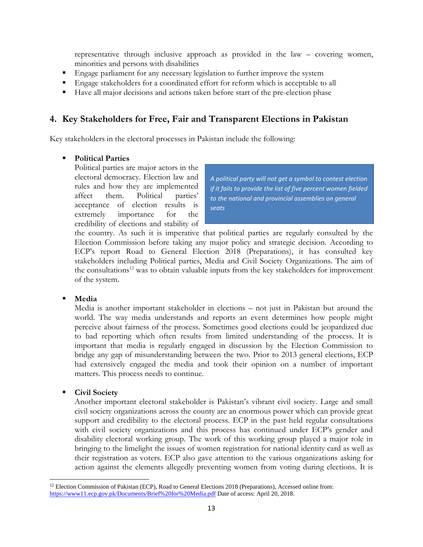representative through inclusive approach as provided in the law – covering women, minorities and persons with disabilities

- Engage parliament for any necessary legislation to further improve the system
- Engage stakeholders for a coordinated effort for reform which is acceptable to all
- Have all major decisions and actions taken before start of the pre-election phase

### <span id="page-13-0"></span>**4. Key Stakeholders for Free, Fair and Transparent Elections in Pakistan**

Key stakeholders in the electoral processes in Pakistan include the following:

#### **Political Parties**

Political parties are major actors in the electoral democracy. Election law and rules and how they are implemented affect them. Political parties' acceptance of election results is extremely importance for the credibility of elections and stability of

*A political party will not get a symbol to contest election if it fails to provide the list of five percent women fielded to the national and provincial assemblies on general seats*

the country. As such it is imperative that political parties are regularly consulted by the Election Commission before taking any major policy and strategic decision. According to ECP's report Road to General Election 2018 (Preparations), it has consulted key stakeholders including Political parties, Media and Civil Society Organizations. The aim of the consultations<sup>12</sup> was to obtain valuable inputs from the key stakeholders for improvement of the system.

#### **Media**

Media is another important stakeholder in elections – not just in Pakistan but around the world. The way media understands and reports an event determines how people might perceive about fairness of the process. Sometimes good elections could be jeopardized due to bad reporting which often results from limited understanding of the process. It is important that media is regularly engaged in discussion by the Election Commission to bridge any gap of misunderstanding between the two. Prior to 2013 general elections, ECP had extensively engaged the media and took their opinion on a number of important matters. This process needs to continue.

#### **Civil Society**

 $\overline{a}$ 

Another important electoral stakeholder is Pakistan's vibrant civil society. Large and small civil society organizations across the county are an enormous power which can provide great support and credibility to the electoral process. ECP in the past held regular consultations with civil society organizations and this process has continued under ECP's gender and disability electoral working group. The work of this working group played a major role in bringing to the limelight the issues of women registration for national identity card as well as their registration as voters. ECP also gave attention to the various organizations asking for action against the elements allegedly preventing women from voting during elections. It is

<sup>&</sup>lt;sup>12</sup> Election Commission of Pakistan (ECP), Road to General Elections 2018 (Preparations), Accessed online from: <https://www11.ecp.gov.pk/Documents/Brief%20for%20Media.pdf> Date of access: April 20, 2018.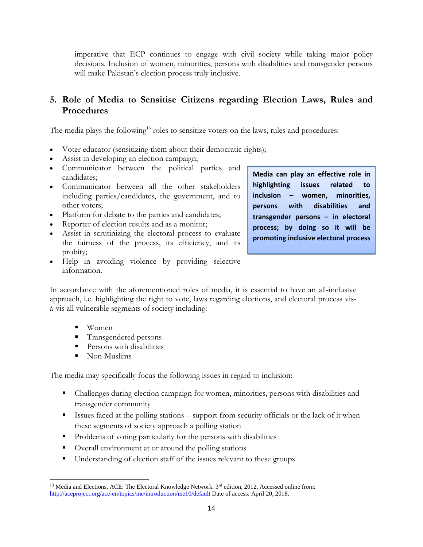imperative that ECP continues to engage with civil society while taking major policy decisions. Inclusion of women, minorities, persons with disabilities and transgender persons will make Pakistan's election process truly inclusive.

# <span id="page-14-0"></span>**5. Role of Media to Sensitise Citizens regarding Election Laws, Rules and Procedures**

The media plays the following<sup>13</sup> roles to sensitize voters on the laws, rules and procedures:

- Voter educator (sensitizing them about their democratic rights);
- Assist in developing an election campaign;
- Communicator between the political parties and candidates;
- Communicator between all the other stakeholders including parties/candidates, the government, and to other voters;
- Platform for debate to the parties and candidates;
- Reporter of election results and as a monitor;
- Assist in scrutinizing the electoral process to evaluate the fairness of the process, its efficiency, and its probity;
- Help in avoiding violence by providing selective information.

**Media can play an effective role in highlighting issues related to inclusion – women, minorities, persons with disabilities and transgender persons – in electoral process; by doing so it will be promoting inclusive electoral process**

In accordance with the aforementioned roles of media, it is essential to have an all-inclusive approach, i.e. highlighting the right to vote, laws regarding elections, and electoral process visà-vis all vulnerable segments of society including:

- Women
- Transgendered persons
- Persons with disabilities
- Non-Muslims

The media may specifically focus the following issues in regard to inclusion:

- Challenges during election campaign for women, minorities, persons with disabilities and transgender community
- Issues faced at the polling stations support from security officials or the lack of it when these segments of society approach a polling station
- Problems of voting particularly for the persons with disabilities
- Overall environment at or around the polling stations
- Understanding of election staff of the issues relevant to these groups

 $\overline{a}$  $13$  Media and Elections, ACE: The Electoral Knowledge Network.  $3<sup>rd</sup>$  edition, 2012, Accessed online from: <http://aceproject.org/ace-en/topics/me/introduction/me10/default> Date of access: April 20, 2018.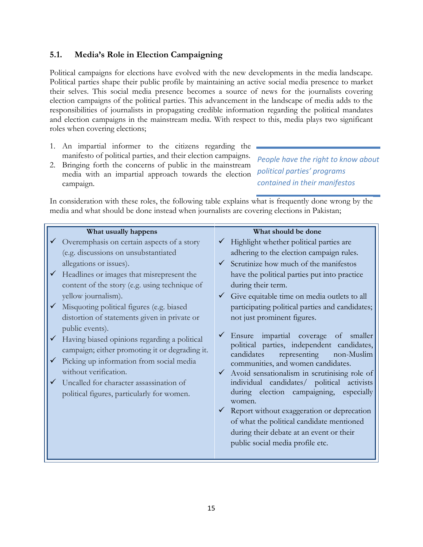### <span id="page-15-0"></span>**5.1. Media's Role in Election Campaigning**

Political campaigns for elections have evolved with the new developments in the media landscape. Political parties shape their public profile by maintaining an active social media presence to market their selves. This social media presence becomes a source of news for the journalists covering election campaigns of the political parties. This advancement in the landscape of media adds to the responsibilities of journalists in propagating credible information regarding the political mandates and election campaigns in the mainstream media. With respect to this, media plays two significant roles when covering elections;

- 1. An impartial informer to the citizens regarding the manifesto of political parties, and their election campaigns.
- 2. Bringing forth the concerns of public in the mainstream media with an impartial approach towards the election campaign.

*People have the right to know about political parties' programs contained in their manifestos*

In consideration with these roles, the following table explains what is frequently done wrong by the media and what should be done instead when journalists are covering elections in Pakistan;

| What usually happens                                                                                                                                                                                                                                                            | What should be done                                                                                                                                                                                                                                                                                                                                                                                                                                                                                                                |
|---------------------------------------------------------------------------------------------------------------------------------------------------------------------------------------------------------------------------------------------------------------------------------|------------------------------------------------------------------------------------------------------------------------------------------------------------------------------------------------------------------------------------------------------------------------------------------------------------------------------------------------------------------------------------------------------------------------------------------------------------------------------------------------------------------------------------|
| Overemphasis on certain aspects of a story                                                                                                                                                                                                                                      | Highlight whether political parties are                                                                                                                                                                                                                                                                                                                                                                                                                                                                                            |
| (e.g. discussions on unsubstantiated                                                                                                                                                                                                                                            | adhering to the election campaign rules.                                                                                                                                                                                                                                                                                                                                                                                                                                                                                           |
| allegations or issues).                                                                                                                                                                                                                                                         | Scrutinize how much of the manifestos                                                                                                                                                                                                                                                                                                                                                                                                                                                                                              |
| $\checkmark$ Headlines or images that misrepresent the                                                                                                                                                                                                                          | have the political parties put into practice                                                                                                                                                                                                                                                                                                                                                                                                                                                                                       |
| content of the story (e.g. using technique of                                                                                                                                                                                                                                   | during their term.                                                                                                                                                                                                                                                                                                                                                                                                                                                                                                                 |
| yellow journalism).                                                                                                                                                                                                                                                             | Give equitable time on media outlets to all                                                                                                                                                                                                                                                                                                                                                                                                                                                                                        |
| $\checkmark$ Misquoting political figures (e.g. biased                                                                                                                                                                                                                          | participating political parties and candidates;                                                                                                                                                                                                                                                                                                                                                                                                                                                                                    |
| distortion of statements given in private or                                                                                                                                                                                                                                    | not just prominent figures.                                                                                                                                                                                                                                                                                                                                                                                                                                                                                                        |
| public events).<br>Having biased opinions regarding a political<br>campaign; either promoting it or degrading it.<br>Picking up information from social media<br>without verification.<br>Uncalled for character assassination of<br>political figures, particularly for women. | Ensure impartial coverage<br>smaller<br>of<br>political parties, independent candidates,<br>candidates<br>representing<br>non-Muslim<br>communities, and women candidates.<br>$\checkmark$ Avoid sensationalism in scrutinising role of<br>individual candidates/ political activists<br>during election campaigning, especially<br>women.<br>$\checkmark$ Report without exaggeration or deprecation<br>of what the political candidate mentioned<br>during their debate at an event or their<br>public social media profile etc. |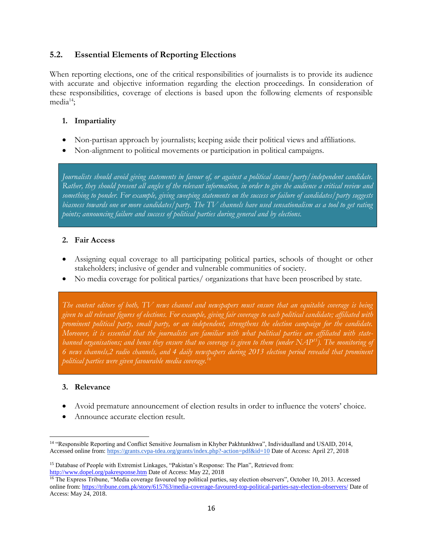### <span id="page-16-0"></span>**5.2. Essential Elements of Reporting Elections**

When reporting elections, one of the critical responsibilities of journalists is to provide its audience with accurate and objective information regarding the election proceedings. In consideration of these responsibilities, coverage of elections is based upon the following elements of responsible  $media^{14}$ :

### **1. Impartiality**

- Non-partisan approach by journalists; keeping aside their political views and affiliations.
- Non-alignment to political movements or participation in political campaigns.

*Journalists should avoid giving statements in favour of, or against a political stance/party/independent candidate. Rather, they should present all angles of the relevant information, in order to give the audience a critical review and something to ponder. For example, giving sweeping statements on the success or failure of candidates/party suggests biasness towards one or more candidates/party. The TV channels have used sensationalism as a tool to get rating points; announcing failure and success of political parties during general and by elections.*

### **2. Fair Access**

- Assigning equal coverage to all participating political parties, schools of thought or other stakeholders; inclusive of gender and vulnerable communities of society.
- No media coverage for political parties/ organizations that have been proscribed by state.

*The content editors of both, TV news channel and newspapers must ensure that an equitable coverage is being given to all relevant figures of elections. For example, giving fair coverage to each political candidate; affiliated with prominent political party, small party, or an independent, strengthens the election campaign for the candidate. Moreover, it is essential that the journalists are familiar with what political parties are affiliated with statebanned organisations; and hence they ensure that no coverage is given to them (under NAP<sup>15</sup>). The monitoring of 6 news channels,2 radio channels, and 4 daily newspapers during 2013 election period revealed that prominent political parties were given favourable media coverage.<sup>16</sup>*

### **3. Relevance**

- Avoid premature announcement of election results in order to influence the voters' choice.
- Announce accurate election result.

 $\overline{\phantom{a}}$ <sup>14</sup> "Responsible Reporting and Conflict Sensitive Journalism in Khyber Pakhtunkhwa", Individualland and USAID, 2014, Accessed online from:<https://grants.cvpa-tdea.org/grants/index.php?-action=pdf&id=10> Date of Access: April 27, 2018

<sup>15</sup> Database of People with Extremist Linkages, "Pakistan's Response: The Plan", Retrieved from: <http://www.dopel.org/pakresponse.htm> Date of Access: May 22, 2018

<sup>&</sup>lt;sup>16</sup> The Express Tribune, "Media coverage favoured top political parties, say election observers", October 10, 2013. Accessed online from:<https://tribune.com.pk/story/615763/media-coverage-favoured-top-political-parties-say-election-observers/> Date of Access: May 24, 2018.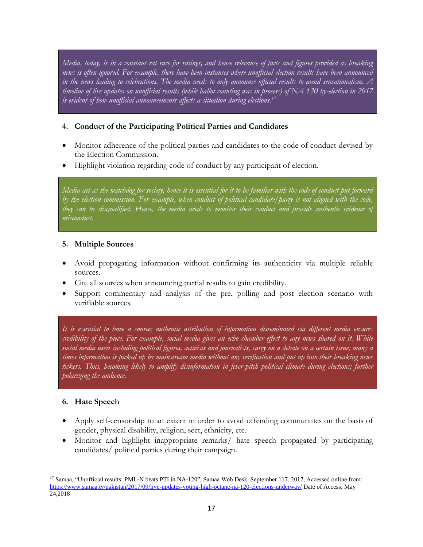*Media, today, is in a constant rat race for ratings, and hence relevance of facts and figures provided as breaking news is often ignored. For example, there have been instances where unofficial election results have been announced in the news leading to celebrations. The media needs to only announce official results to avoid sensationalism. A timeline of live updates on unofficial results (while ballot counting was in process) of NA 120 by-election in 2017 is evident of how unofficial announcements affects a situation during elections.<sup>17</sup>*

### **4. Conduct of the Participating Political Parties and Candidates**

- Monitor adherence of the political parties and candidates to the code of conduct devised by the Election Commission.
- Highlight violation regarding code of conduct by any participant of election.

*Media act as the watchdog for society, hence it is essential for it to be familiar with the code of conduct put forward by the election commission. For example, when conduct of political candidate/party is not aligned with the code, they can be disqualified. Hence, the media needs to monitor their conduct and provide authentic evidence of misconduct.*

### **5. Multiple Sources**

- Avoid propagating information without confirming its authenticity via multiple reliable sources.
- Cite all sources when announcing partial results to gain credibility.
- Support commentary and analysis of the pre, polling and post election scenario with verifiable sources.

*It is essential to have a source; authentic attribution of information disseminated via different media ensures credibility of the piece. For example, social media gives an echo chamber effect to any news shared on it. While social media users including political figures, activists and journalists, carry on a debate on a certain issue; many a times information is picked up by mainstream media without any verification and put up into their breaking news*  tickers. Thus, becoming likely to amplify disinformation in fever-pitch political climate during elections; further *polarizing the audience.*

### **6. Hate Speech**

- Apply self-censorship to an extent in order to avoid offending communities on the basis of gender, physical disability, religion, sect, ethnicity, etc.
- Monitor and highlight inappropriate remarks/ hate speech propagated by participating candidates/ political parties during their campaign.

l <sup>17</sup> Samaa, "Unofficial results: PML-N beats PTI in NA-120", Samaa Web Desk, September 117, 2017, Accessed online from: <https://www.samaa.tv/pakistan/2017/09/live-updates-voting-high-octane-na-120-elections-underway/> Date of Access; May 24,2018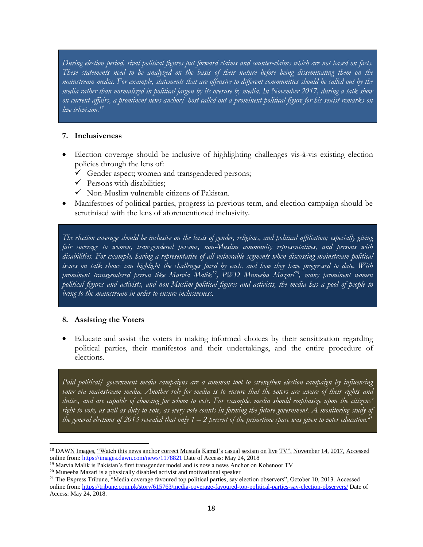*During election period, rival political figures put forward claims and counter-claims which are not based on facts. These statements need to be analyzed on the basis of their nature before being disseminating them on the mainstream media. For example, statements that are offensive to different communities should be called out by the media rather than normalized in political jargon by its overuse by media. In November 2017, during a talk show on current affairs, a prominent news anchor/ host called out a prominent political figure for his sexist remarks on live television.<sup>18</sup>*

#### **7. Inclusiveness**

- Election coverage should be inclusive of highlighting challenges vis-à-vis existing election policies through the lens of:
	- $\checkmark$  Gender aspect; women and transgendered persons;
	- $\checkmark$  Persons with disabilities;
	- $\checkmark$  Non-Muslim vulnerable citizens of Pakistan.
- Manifestoes of political parties, progress in previous term, and election campaign should be scrutinised with the lens of aforementioned inclusivity.

*The election coverage should be inclusive on the basis of gender, religious, and political affiliation; especially giving fair coverage to women, transgendered persons, non-Muslim community representatives, and persons with disabilities. For example, having a representative of all vulnerable segments when discussing mainstream political issues on talk shows can highlight the challenges faced by each, and how they have progressed to date. With prominent transgendered person like Marvia Malik<sup>19</sup>, PWD Muneeba Mazari<sup>20</sup>, many prominent women political figures and activists, and non-Muslim political figures and activists, the media has a pool of people to bring to the mainstream in order to ensure inclusiveness.*

#### **8. Assisting the Voters**

 $\overline{a}$ 

 Educate and assist the voters in making informed choices by their sensitization regarding political parties, their manifestos and their undertakings, and the entire procedure of elections.

*Paid political/ government media campaigns are a common tool to strengthen election campaign by influencing voter via mainstream media. Another role for media is to ensure that the voters are aware of their rights and duties, and are capable of choosing for whom to vote. For example, media should emphasize upon the citizens' right to vote, as well as duty to vote, as every vote counts in forming the future government. A monitoring study of the general elections of 2013 revealed that only 1 – 2 percent of the primetime space was given to voter education.<sup>21</sup>*

 $19$  Marvia Malik is Pakistan's first transgender model and is now a news Anchor on Kohenoor TV

<sup>&</sup>lt;sup>18</sup> DAWN Images, "Watch this news anchor correct Mustafa Kamal's casual sexism on live TV", November 14, 2017, Accessed online from: <https://images.dawn.com/news/1178821> Date of Access: May 24, 2018

 $20$  Muneeba Mazari is a physically disabled activist and motivational speaker

<sup>&</sup>lt;sup>21</sup> The Express Tribune, "Media coverage favoured top political parties, say election observers", October 10, 2013. Accessed online from:<https://tribune.com.pk/story/615763/media-coverage-favoured-top-political-parties-say-election-observers/> Date of Access: May 24, 2018.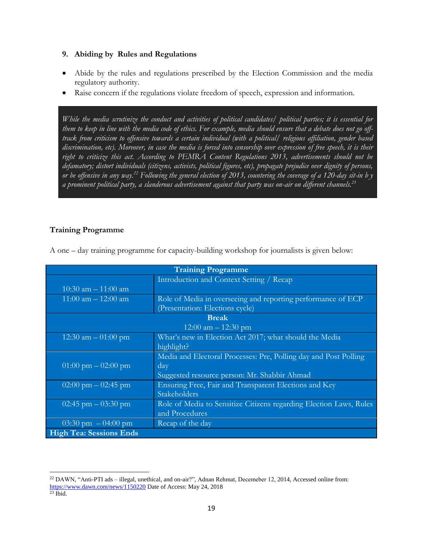#### **9. Abiding by Rules and Regulations**

- Abide by the rules and regulations prescribed by the Election Commission and the media regulatory authority.
- Raise concern if the regulations violate freedom of speech, expression and information.

*While the media scrutinize the conduct and activities of political candidates/ political parties; it is essential for them to keep in line with the media code of ethics. For example, media should ensure that a debate does not go offtrack from criticism to offensive towards a certain individual (with a political/ religious affiliation, gender based discrimination, etc). Moreover, in case the media is forced into censorship over expression of free speech, it is their right to criticize this act. According to PEMRA Content Regulations 2013, advertisements should not be defamatory; distort individuals (citizens, activists, political figures, etc), propagate prejudice over dignity of persons, or be offensive in any way.<sup>22</sup> Following the general election of 2013, countering the coverage of a 120-day sit-in b y a prominent political party, a slanderous advertisement against that party was on-air on different channels.<sup>23</sup>*

### <span id="page-19-0"></span>**Training Programme**

| <b>Training Programme</b>             |                                                                    |  |  |  |  |
|---------------------------------------|--------------------------------------------------------------------|--|--|--|--|
|                                       | Introduction and Context Setting / Recap                           |  |  |  |  |
| $10:30$ am $-11:00$ am                |                                                                    |  |  |  |  |
| $11:00$ am $-12:00$ am                | Role of Media in overseeing and reporting performance of ECP       |  |  |  |  |
|                                       | (Presentation: Elections cycle)                                    |  |  |  |  |
| <b>Break</b>                          |                                                                    |  |  |  |  |
| 12:00 am $-$ 12:30 pm                 |                                                                    |  |  |  |  |
| 12:30 am $-$ 01:00 pm                 | What's new in Election Act 2017; what should the Media             |  |  |  |  |
|                                       | highlight?                                                         |  |  |  |  |
|                                       | Media and Electoral Processes: Pre, Polling day and Post Polling   |  |  |  |  |
| $01:00 \text{ pm} - 02:00 \text{ pm}$ | day                                                                |  |  |  |  |
|                                       | Suggested resource person: Mr. Shabbir Ahmad                       |  |  |  |  |
| $02:00 \text{ pm} - 02:45 \text{ pm}$ | Ensuring Free, Fair and Transparent Elections and Key              |  |  |  |  |
|                                       | Stakeholders                                                       |  |  |  |  |
| 02:45 pm $-$ 03:30 pm                 | Role of Media to Sensitize Citizens regarding Election Laws, Rules |  |  |  |  |
|                                       | and Procedures                                                     |  |  |  |  |
| 03:30 pm $-$ 04:00 pm                 | Recap of the day                                                   |  |  |  |  |
| <b>High Tea: Sessions Ends</b>        |                                                                    |  |  |  |  |

A one – day training programme for capacity-building workshop for journalists is given below:

l

 $22$  DAWN, "Anti-PTI ads – illegal, unethical, and on-air?", Adnan Rehmat, Decemeber 12, 2014, Accessed online from: <https://www.dawn.com/news/1150220> Date of Access: May 24, 2018

 $23$  Ibid.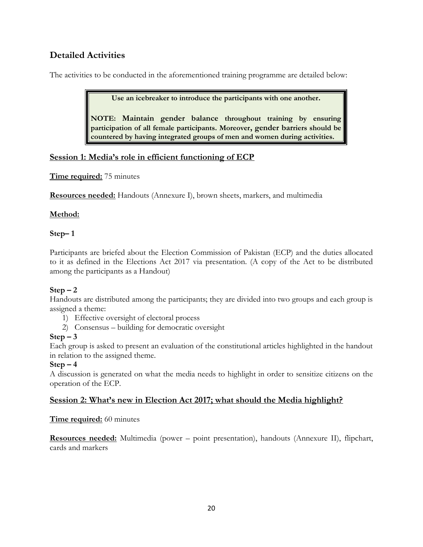# <span id="page-20-0"></span>**Detailed Activities**

The activities to be conducted in the aforementioned training programme are detailed below:

**Use an icebreaker to introduce the participants with one another.**

**NOTE: Maintain gender balance throughout training by ensuring participation of all female participants. Moreover, gender barriers should be countered by having integrated groups of men and women during activities.**

### <span id="page-20-1"></span>**Session 1: Media's role in efficient functioning of ECP**

**Time required:** 75 minutes

**Resources needed:** Handouts (Annexure I), brown sheets, markers, and multimedia

### **Method:**

### **Step– 1**

Participants are briefed about the Election Commission of Pakistan (ECP) and the duties allocated to it as defined in the Elections Act 2017 via presentation. (A copy of the Act to be distributed among the participants as a Handout)

### $Step - 2$

Handouts are distributed among the participants; they are divided into two groups and each group is assigned a theme:

- 1) Effective oversight of electoral process
- 2) Consensus building for democratic oversight

### $Step - 3$

Each group is asked to present an evaluation of the constitutional articles highlighted in the handout in relation to the assigned theme.

### $Step - 4$

A discussion is generated on what the media needs to highlight in order to sensitize citizens on the operation of the ECP.

### <span id="page-20-2"></span>**Session 2: What's new in Election Act 2017; what should the Media highlight?**

### **Time required:** 60 minutes

**Resources needed:** Multimedia (power – point presentation), handouts (Annexure II), flipchart, cards and markers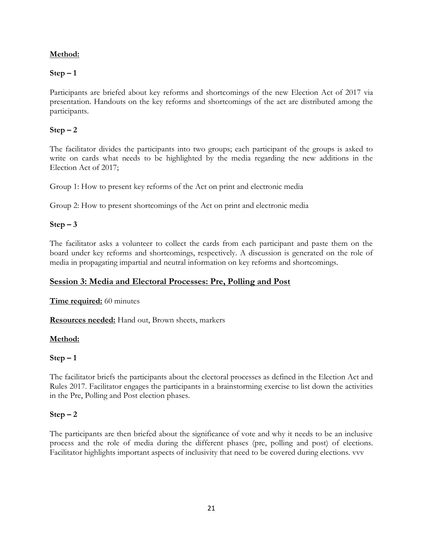### **Method:**

### $Step - 1$

Participants are briefed about key reforms and shortcomings of the new Election Act of 2017 via presentation. Handouts on the key reforms and shortcomings of the act are distributed among the participants.

### $Step - 2$

The facilitator divides the participants into two groups; each participant of the groups is asked to write on cards what needs to be highlighted by the media regarding the new additions in the Election Act of 2017;

Group 1: How to present key reforms of the Act on print and electronic media

Group 2: How to present shortcomings of the Act on print and electronic media

### $Step - 3$

The facilitator asks a volunteer to collect the cards from each participant and paste them on the board under key reforms and shortcomings, respectively. A discussion is generated on the role of media in propagating impartial and neutral information on key reforms and shortcomings.

### <span id="page-21-0"></span>**Session 3: Media and Electoral Processes: Pre, Polling and Post**

**Time required:** 60 minutes

**Resources needed:** Hand out, Brown sheets, markers

### **Method:**

### $Step - 1$

The facilitator briefs the participants about the electoral processes as defined in the Election Act and Rules 2017. Facilitator engages the participants in a brainstorming exercise to list down the activities in the Pre, Polling and Post election phases.

### $Step - 2$

The participants are then briefed about the significance of vote and why it needs to be an inclusive process and the role of media during the different phases (pre, polling and post) of elections. Facilitator highlights important aspects of inclusivity that need to be covered during elections. vvv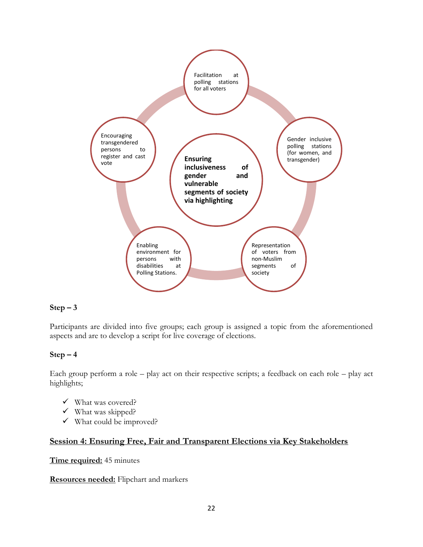

### $Step - 3$

Participants are divided into five groups; each group is assigned a topic from the aforementioned aspects and are to develop a script for live coverage of elections.

#### $Step - 4$

Each group perform a role – play act on their respective scripts; a feedback on each role – play act highlights;

- What was covered?
- $\checkmark$  What was skipped?
- $\checkmark$  What could be improved?

### <span id="page-22-0"></span>**Session 4: Ensuring Free, Fair and Transparent Elections via Key Stakeholders**

#### **Time required:** 45 minutes

**Resources needed:** Flipchart and markers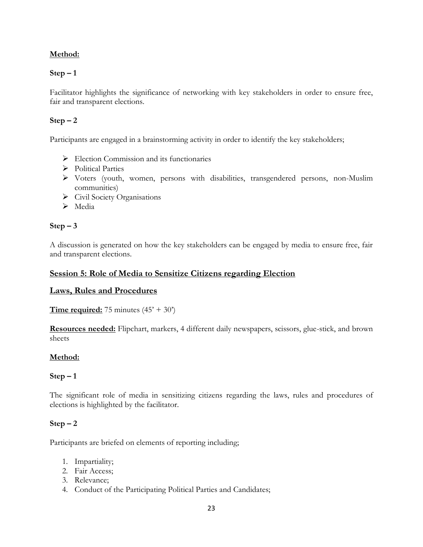### **Method:**

### **Step – 1**

Facilitator highlights the significance of networking with key stakeholders in order to ensure free, fair and transparent elections.

### $Step - 2$

Participants are engaged in a brainstorming activity in order to identify the key stakeholders;

- $\triangleright$  Election Commission and its functionaries
- Political Parties
- Voters (youth, women, persons with disabilities, transgendered persons, non-Muslim communities)
- $\triangleright$  Civil Society Organisations
- $\triangleright$  Media

### $Step - 3$

A discussion is generated on how the key stakeholders can be engaged by media to ensure free, fair and transparent elections.

### <span id="page-23-0"></span>**Session 5: Role of Media to Sensitize Citizens regarding Election**

#### <span id="page-23-1"></span>**Laws, Rules and Procedures**

**Time required:** 75 minutes  $(45' + 30')$ 

**Resources needed:** Flipchart, markers, 4 different daily newspapers, scissors, glue-stick, and brown sheets

### **Method:**

### **Step – 1**

The significant role of media in sensitizing citizens regarding the laws, rules and procedures of elections is highlighted by the facilitator.

### $Step - 2$

Participants are briefed on elements of reporting including;

- 1. Impartiality;
- 2. Fair Access;
- 3. Relevance;
- 4. Conduct of the Participating Political Parties and Candidates;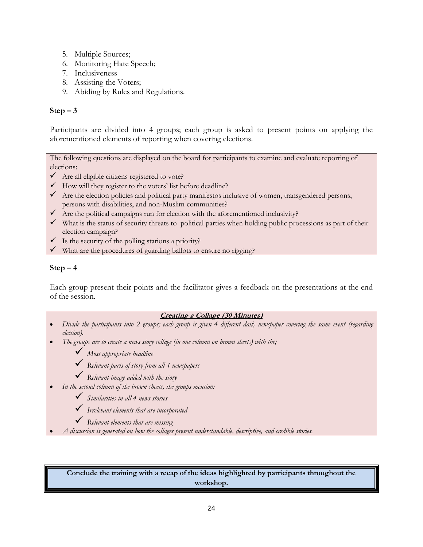- 5. Multiple Sources;
- 6. Monitoring Hate Speech;
- 7. Inclusiveness
- 8. Assisting the Voters;
- 9. Abiding by Rules and Regulations.

### $Step - 3$

Participants are divided into 4 groups; each group is asked to present points on applying the aforementioned elements of reporting when covering elections.

The following questions are displayed on the board for participants to examine and evaluate reporting of elections:

- $\checkmark$  Are all eligible citizens registered to vote?
- $\checkmark$  How will they register to the voters' list before deadline?
- $\checkmark$  Are the election policies and political party manifestos inclusive of women, transgendered persons, persons with disabilities, and non-Muslim communities?
- $\checkmark$  Are the political campaigns run for election with the aforementioned inclusivity?
- $\checkmark$  What is the status of security threats to political parties when holding public processions as part of their election campaign?
- $\checkmark$  Is the security of the polling stations a priority?
- $\checkmark$  What are the procedures of guarding ballots to ensure no rigging?

### $Step - 4$

Each group present their points and the facilitator gives a feedback on the presentations at the end of the session.

#### **Creating a Collage (30 Minutes)**

- *Divide the participants into 2 groups; each group is given 4 different daily newspaper covering the same event (regarding election).*
- *The groups are to create a news story collage (in one column on brown sheets) with the;*
	- *Most appropriate headline*
	- *Relevant parts of story from all 4 newspapers*
	- *Relevant image added with the story*
- *In the second column of the brown sheets, the groups mention:*
	- *Similarities in all 4 news stories*
	- *Irrelevant elements that are incorporated*
	- *Relevant elements that are missing*
- *A discussion is generated on how the collages present understandable, descriptive, and credible stories.*

**Conclude the training with a recap of the ideas highlighted by participants throughout the workshop.**